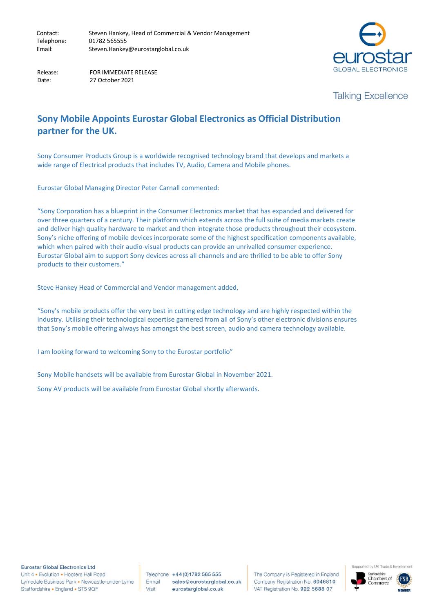

Date: 27 October 2021

Release: FOR IMMEDIATE RELEASE

## **Talking Excellence**

## **Sony Mobile Appoints Eurostar Global Electronics as Official Distribution partner for the UK.**

Sony Consumer Products Group is a worldwide recognised technology brand that develops and markets a wide range of Electrical products that includes TV, Audio, Camera and Mobile phones.

Eurostar Global Managing Director Peter Carnall commented:

"Sony Corporation has a blueprint in the Consumer Electronics market that has expanded and delivered for over three quarters of a century. Their platform which extends across the full suite of media markets create and deliver high quality hardware to market and then integrate those products throughout their ecosystem. Sony's niche offering of mobile devices incorporate some of the highest specification components available, which when paired with their audio-visual products can provide an unrivalled consumer experience. Eurostar Global aim to support Sony devices across all channels and are thrilled to be able to offer Sony products to their customers."

Steve Hankey Head of Commercial and Vendor management added,

"Sony's mobile products offer the very best in cutting edge technology and are highly respected within the industry. Utilising their technological expertise garnered from all of Sony's other electronic divisions ensures that Sony's mobile offering always has amongst the best screen, audio and camera technology available.

I am looking forward to welcoming Sony to the Eurostar portfolio"

Sony Mobile handsets will be available from Eurostar Global in November 2021.

Sony AV products will be available from Eurostar Global shortly afterwards.

**Eurostar Global Electronics Ltd** Unit 4 . Evolution . Hooters Hall Road Lymedale Business Park · Newcastle-under-Lyme Staffordshire • England • ST5 9QF

Telephone +44 (0) 1782 565 555 E-mail sales@eurostarglobal.co.uk Visit eurostarglobal.co.uk

The Company is Registered in England Company Registration No. 6046810 VAT Registration No. 922 5688 07